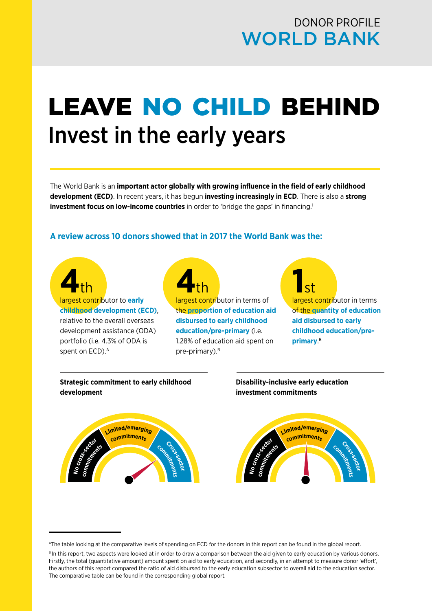### DONOR PROFILE WORLD BANK

### LEAVE NO CHILD BEHIND Invest in the early years

The World Bank is an **important actor globally with growing influence in the field of early childhood development (ECD)**. In recent years, it has begun **investing increasingly in ECD**. There is also a **strong investment focus on low-income countries** in order to 'bridge the gaps' in financing.<sup>1</sup>

#### **A review across 10 donors showed that in 2017 the World Bank was the:**

# **4**th largest contributor to **early**

**childhood development (ECD)**, relative to the overall overseas

development assistance (ODA) portfolio (i.e. 4.3% of ODA is spent on ECD).<sup>A</sup>

## **4**<br> *A***<sub>th</sub>**<br> *A***<sub>largest contri**butor in terms of</sub>

the **proportion of education aid disbursed to early childhood education/pre-primary** (i.e. 1.28% of education aid spent on pre-primary).<sup>B</sup>

**1**st **1**<br> **1**st **1**<br> **1largest contributor** in terms of the **quantity of education aid disbursed to early childhood education/preprimary**. B

#### **Strategic commitment to early childhood development**

#### **Disability-inclusive early education investment commitments**



AThe table looking at the comparative levels of spending on ECD for the donors in this report can be found in the global report.

B In this report, two aspects were looked at in order to draw a comparison between the aid given to early education by various donors. Firstly, the total (quantitative amount) amount spent on aid to early education, and secondly, in an attempt to measure donor 'effort', the authors of this report compared the ratio of aid disbursed to the early education subsector to overall aid to the education sector. The comparative table can be found in the corresponding global report.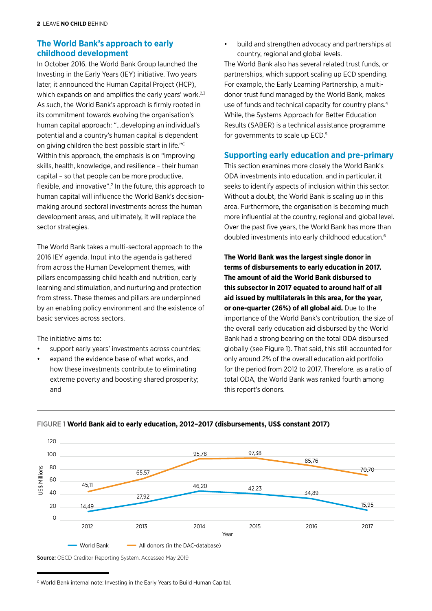#### **The World Bank's approach to early** • **childhood development**

In October 2016, the World Bank Group launched the Investing in the Early Years (IEY) initiative. Two years later, it announced the Human Capital Project (HCP), which expands on and amplifies the early years' work.<sup>2,3</sup> As such, the World Bank's approach is firmly rooted in its commitment towards evolving the organisation's human capital approach: "…developing an individual's potential and a country's human capital is dependent on giving children the best possible start in life."C Within this approach, the emphasis is on "improving skills, health, knowledge, and resilience – their human capital – so that people can be more productive, flexible, and innovative".<sup>2</sup> In the future, this approach to human capital will influence the World Bank's decisionmaking around sectoral investments across the human development areas, and ultimately, it will replace the sector strategies.

The World Bank takes a multi-sectoral approach to the 2016 IEY agenda. Input into the agenda is gathered from across the Human Development themes, with pillars encompassing child health and nutrition, early learning and stimulation, and nurturing and protection from stress. These themes and pillars are underpinned by an enabling policy environment and the existence of basic services across sectors.

The initiative aims to:

- support early years' investments across countries;
- expand the evidence base of what works, and how these investments contribute to eliminating extreme poverty and boosting shared prosperity; and

build and strengthen advocacy and partnerships at country, regional and global levels.

The World Bank also has several related trust funds, or partnerships, which support scaling up ECD spending. For example, the Early Learning Partnership, a multidonor trust fund managed by the World Bank, makes use of funds and technical capacity for country plans.<sup>4</sup> While, the Systems Approach for Better Education Results (SABER) is a technical assistance programme for governments to scale up ECD.<sup>5</sup>

#### **Supporting early education and pre-primary**

This section examines more closely the World Bank's ODA investments into education, and in particular, it seeks to identify aspects of inclusion within this sector. Without a doubt, the World Bank is scaling up in this area. Furthermore, the organisation is becoming much more influential at the country, regional and global level. Over the past five years, the World Bank has more than doubled investments into early childhood education.6

**The World Bank was the largest single donor in terms of disbursements to early education in 2017. The amount of aid the World Bank disbursed to this subsector in 2017 equated to around half of all aid issued by multilaterals in this area, for the year, or one-quarter (26%) of all global aid.** Due to the importance of the World Bank's contribution, the size of the overall early education aid disbursed by the World Bank had a strong bearing on the total ODA disbursed globally (see Figure 1). That said, this still accounted for only around 2% of the overall education aid portfolio for the period from 2012 to 2017. Therefore, as a ratio of total ODA, the World Bank was ranked fourth among this report's donors.



FIGURE 1 **World Bank aid to early education, 2012–2017 (disbursements, US\$ constant 2017)**

Source: OECD Creditor Reporting System. Accessed May 2019

C World Bank internal note: Investing in the Early Years to Build Human Capital.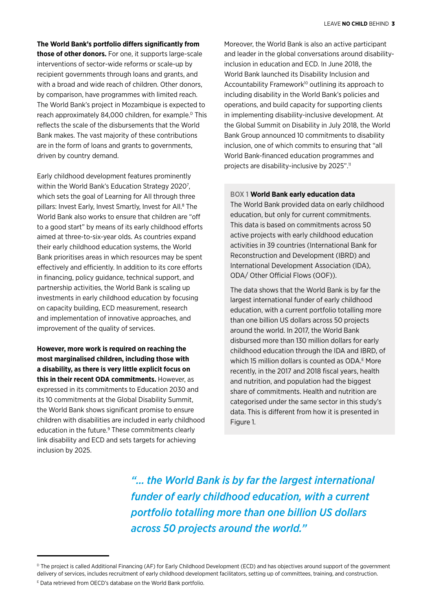**The World Bank's portfolio differs significantly from** 

**those of other donors.** For one, it supports large-scale interventions of sector-wide reforms or scale-up by recipient governments through loans and grants, and with a broad and wide reach of children. Other donors, by comparison, have programmes with limited reach. The World Bank's project in Mozambique is expected to reach approximately 84,000 children, for example.<sup>D</sup> This reflects the scale of the disbursements that the World Bank makes. The vast majority of these contributions are in the form of loans and grants to governments, driven by country demand.

Early childhood development features prominently within the World Bank's Education Strategy 2020<sup>7</sup>, which sets the goal of Learning for All through three pillars: Invest Early, Invest Smartly, Invest for All.<sup>8</sup> The World Bank also works to ensure that children are "off to a good start" by means of its early childhood efforts aimed at three-to-six-year olds. As countries expand their early childhood education systems, the World Bank prioritises areas in which resources may be spent effectively and efficiently. In addition to its core efforts in financing, policy guidance, technical support, and partnership activities, the World Bank is scaling up investments in early childhood education by focusing on capacity building, ECD measurement, research and implementation of innovative approaches, and improvement of the quality of services.

**However, more work is required on reaching the most marginalised children, including those with a disability, as there is very little explicit focus on this in their recent ODA commitments.** However, as expressed in its commitments to Education 2030 and its 10 commitments at the Global Disability Summit, the World Bank shows significant promise to ensure children with disabilities are included in early childhood education in the future.<sup>9</sup> These commitments clearly link disability and ECD and sets targets for achieving inclusion by 2025.

Moreover, the World Bank is also an active participant and leader in the global conversations around disabilityinclusion in education and ECD. In June 2018, the World Bank launched its Disability Inclusion and Accountability Framework<sup>10</sup> outlining its approach to including disability in the World Bank's policies and operations, and build capacity for supporting clients in implementing disability-inclusive development. At the Global Summit on Disability in July 2018, the World Bank Group announced 10 commitments to disability inclusion, one of which commits to ensuring that "all World Bank-financed education programmes and projects are disability-inclusive by 2025".<sup>11</sup>

#### BOX 1 **World Bank early education data**

The World Bank provided data on early childhood education, but only for current commitments. This data is based on commitments across 50 active projects with early childhood education activities in 39 countries (International Bank for Reconstruction and Development (IBRD) and International Development Association (IDA), ODA/ Other Official Flows (OOF)).

The data shows that the World Bank is by far the largest international funder of early childhood education, with a current portfolio totalling more than one billion US dollars across 50 projects around the world. In 2017, the World Bank disbursed more than 130 million dollars for early childhood education through the IDA and IBRD, of which 15 million dollars is counted as ODA.<sup>E</sup> More recently, in the 2017 and 2018 fiscal years, health and nutrition, and population had the biggest share of commitments. Health and nutrition are categorised under the same sector in this study's data. This is different from how it is presented in Figure 1.

*"... the World Bank is by far the largest international funder of early childhood education, with a current portfolio totalling more than one billion US dollars across 50 projects around the world."*

<sup>&</sup>lt;sup>D</sup> The project is called Additional Financing (AF) for Early Childhood Development (ECD) and has objectives around support of the government delivery of services, includes recruitment of early childhood development facilitators, setting up of committees, training, and construction. E Data retrieved from OECD's database on the World Bank portfolio.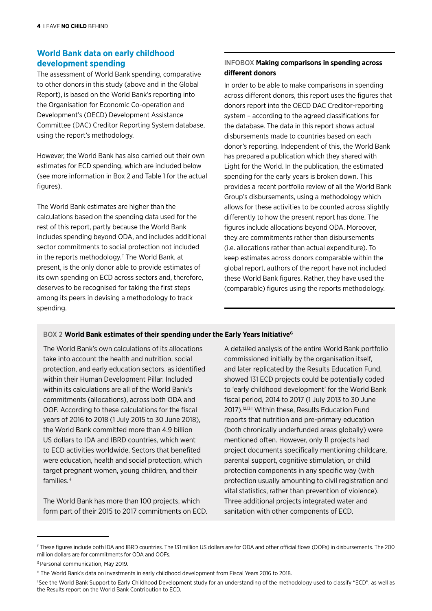#### **World Bank data on early childhood development spending**

The assessment of World Bank spending, comparative to other donors in this study (above and in the Global Report), is based on the World Bank's reporting into the Organisation for Economic Co-operation and Development's (OECD) Development Assistance Committee (DAC) Creditor Reporting System database, using the report's methodology.

However, the World Bank has also carried out their own estimates for ECD spending, which are included below (see more information in Box 2 and Table 1 for the actual figures).

The World Bank estimates are higher than the calculations based on the spending data used for the rest of this report, partly because the World Bank includes spending beyond ODA, and includes additional sector commitments to social protection not included in the reports methodology.<sup>F</sup> The World Bank, at present, is the only donor able to provide estimates of its own spending on ECD across sectors and, therefore, deserves to be recognised for taking the first steps among its peers in devising a methodology to track spending.

#### INFOBOX **Making comparisons in spending across different donors**

In order to be able to make comparisons in spending across different donors, this report uses the figures that donors report into the OECD DAC Creditor-reporting system – according to the agreed classifications for the database. The data in this report shows actual disbursements made to countries based on each donor's reporting. Independent of this, the World Bank has prepared a publication which they shared with Light for the World. In the publication, the estimated spending for the early years is broken down. This provides a recent portfolio review of all the World Bank Group's disbursements, using a methodology which allows for these activities to be counted across slightly differently to how the present report has done. The figures include allocations beyond ODA. Moreover, they are commitments rather than disbursements (i.e. allocations rather than actual expenditure). To keep estimates across donors comparable within the global report, authors of the report have not included these World Bank figures. Rather, they have used the (comparable) figures using the reports methodology.

#### BOX 2 World Bank estimates of their spending under the Early Years Initiative<sup>G</sup>

take into account the health and nutrition, social commissioned initially by the organisation itself, protection, and early education sectors, as identified and later replicated by the Results Education Fund, within their Human Development Pillar. Included showed 131 ECD projects could be potentially coded commitments (allocations), across both ODA and fiscal period, 2014 to 2017 (1 July 2013 to 30 June OOF. According to these calculations for the fiscal 2017).<sup>12,13,1</sup> Within these, Results Education Fund years of 2016 to 2018 (1 July 2015 to 30 June 2018). reports that nutrition and pre-primary education the World Bank committed more than 4.9 billion (both chronically underfunded areas globally) were US dollars to IDA and IBRD countries, which went mentioned often. However, only 11 projects had were education, health and social protection, which parental support, cognitive stimulation, or child target pregnant women, young children, and their protection components in any specific way (with

The World Bank has more than 100 projects, which Three additional projects integrated water and form part of their 2015 to 2017 commitments on ECD. Sanitation with other components of ECD.

The World Bank's own calculations of its allocations A detailed analysis of the entire World Bank portfolio within its calculations are all of the World Bank's to 'early childhood development' for the World Bank to ECD activities worldwide. Sectors that benefited project documents specifically mentioning childcare, families.H protection usually amounting to civil registration and vital statistics, rather than prevention of violence).

F These figures include both IDA and IBRD countries. The 131 million US dollars are for ODA and other official flows (OOFs) in disbursements. The 200 million dollars are for commitments for ODA and OOFs.

G Personal communication, May 2019.

H The World Bank's data on investments in early childhood development from Fiscal Years 2016 to 2018.

I See the World Bank Support to Early Childhood Development study for an understanding of the methodology used to classify "ECD", as well as the Results report on the World Bank Contribution to ECD.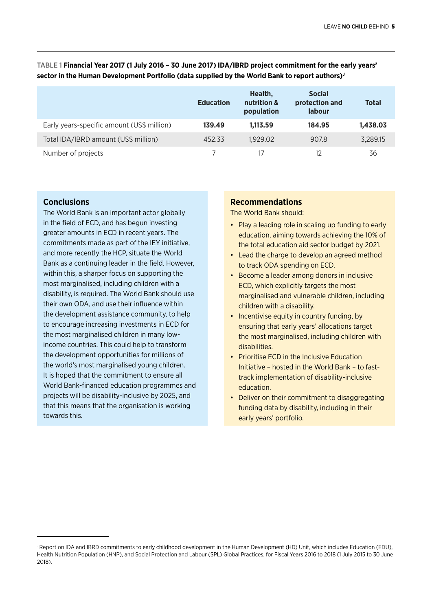#### TABLE 1 **Financial Year 2017 (1 July 2016 – 30 June 2017) IDA/IBRD project commitment for the early years'**  sector in the Human Development Portfolio (data supplied by the World Bank to report authors)<sup>J</sup>

|                                            | <b>Education</b> | Health,<br>nutrition &<br>population | <b>Social</b><br>protection and<br><b>labour</b> | <b>Total</b> |
|--------------------------------------------|------------------|--------------------------------------|--------------------------------------------------|--------------|
| Early years-specific amount (US\$ million) | 139.49           | 1.113.59                             | 184.95                                           | 1,438.03     |
| Total IDA/IBRD amount (US\$ million)       | 452.33           | 1.929.02                             | 907.8                                            | 3,289.15     |
| Number of projects                         |                  |                                      | 12                                               | 36           |

#### **Conclusions**

The World Bank is an important actor globally in the field of ECD, and has begun investing greater amounts in ECD in recent years. The commitments made as part of the IEY initiative, and more recently the HCP, situate the World Bank as a continuing leader in the field. However, within this, a sharper focus on supporting the most marginalised, including children with a disability, is required. The World Bank should use their own ODA, and use their influence within the development assistance community, to help to encourage increasing investments in ECD for the most marginalised children in many lowincome countries. This could help to transform the development opportunities for millions of the world's most marginalised young children. It is hoped that the commitment to ensure all World Bank-financed education programmes and projects will be disability-inclusive by 2025, and that this means that the organisation is working towards this.

#### **Recommendations**

The World Bank should:

- Play a leading role in scaling up funding to early education, aiming towards achieving the 10% of the total education aid sector budget by 2021.
- Lead the charge to develop an agreed method to track ODA spending on ECD.
- Become a leader among donors in inclusive ECD, which explicitly targets the most marginalised and vulnerable children, including children with a disability.
- Incentivise equity in country funding, by ensuring that early years' allocations target the most marginalised, including children with disabilities.
- Prioritise ECD in the Inclusive Education Initiative – hosted in the World Bank – to fasttrack implementation of disability-inclusive education.
- Deliver on their commitment to disaggregating funding data by disability, including in their early years' portfolio.

J Report on IDA and IBRD commitments to early childhood development in the Human Development (HD) Unit, which includes Education (EDU), Health Nutrition Population (HNP), and Social Protection and Labour (SPL) Global Practices, for Fiscal Years 2016 to 2018 (1 July 2015 to 30 June 2018).